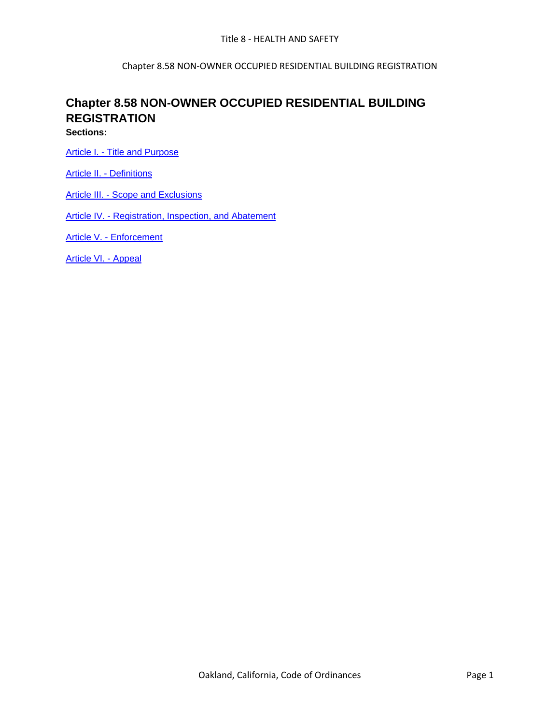Chapter 8.58 NON-OWNER OCCUPIED RESIDENTIAL BUILDING REGISTRATION

# **Chapter 8.58 NON-OWNER OCCUPIED RESIDENTIAL BUILDING REGISTRATION**

**Sections:**

Article I. - [Title and Purpose](../level3/TIT8HESA_CH8.58NNEOCREBURE_ARTITIPU.docx)

Article II. - [Definitions](../level3/TIT8HESA_CH8.58NNEOCREBURE_ARTIIDE.docx)

Article III. - [Scope and Exclusions](../level3/TIT8HESA_CH8.58NNEOCREBURE_ARTIIISCEX.docx)

Article IV. - [Registration, Inspection, and Abatement](../level3/TIT8HESA_CH8.58NNEOCREBURE_ARTIVREINAB.docx)

Article V. - [Enforcement](../level3/TIT8HESA_CH8.58NNEOCREBURE_ARTVEN.docx)

[Article VI. -](../level3/TIT8HESA_CH8.58NNEOCREBURE_ARTVIAP.docx) Appeal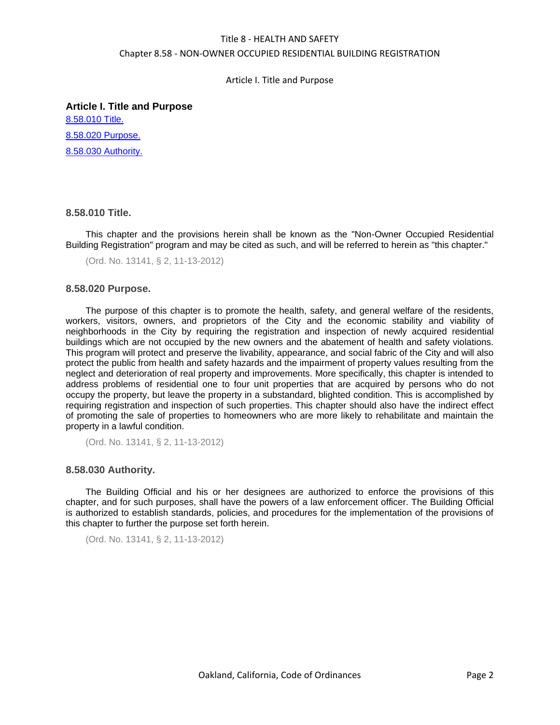Article I. Title and Purpose

**Article I. Title and Purpose** [8.58.010 Title.](#page-1-0) [8.58.020 Purpose.](#page-1-1) [8.58.030 Authority.](#page-1-2)

# <span id="page-1-0"></span>**8.58.010 Title.**

This chapter and the provisions herein shall be known as the "Non-Owner Occupied Residential Building Registration" program and may be cited as such, and will be referred to herein as "this chapter."

```
(Ord. No. 13141, § 2, 11-13-2012)
```
# <span id="page-1-1"></span>**8.58.020 Purpose.**

The purpose of this chapter is to promote the health, safety, and general welfare of the residents, workers, visitors, owners, and proprietors of the City and the economic stability and viability of neighborhoods in the City by requiring the registration and inspection of newly acquired residential buildings which are not occupied by the new owners and the abatement of health and safety violations. This program will protect and preserve the livability, appearance, and social fabric of the City and will also protect the public from health and safety hazards and the impairment of property values resulting from the neglect and deterioration of real property and improvements. More specifically, this chapter is intended to address problems of residential one to four unit properties that are acquired by persons who do not occupy the property, but leave the property in a substandard, blighted condition. This is accomplished by requiring registration and inspection of such properties. This chapter should also have the indirect effect of promoting the sale of properties to homeowners who are more likely to rehabilitate and maintain the property in a lawful condition.

(Ord. No. 13141, § 2, 11-13-2012)

### <span id="page-1-2"></span>**8.58.030 Authority.**

The Building Official and his or her designees are authorized to enforce the provisions of this chapter, and for such purposes, shall have the powers of a law enforcement officer. The Building Official is authorized to establish standards, policies, and procedures for the implementation of the provisions of this chapter to further the purpose set forth herein.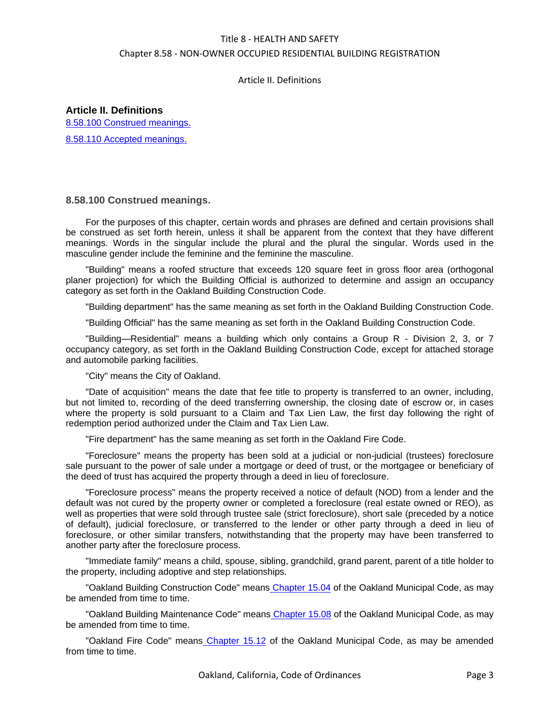# Article II. Definitions

**Article II. Definitions** [8.58.100 Construed meanings.](#page-2-0) [8.58.110 Accepted meanings.](#page-3-0)

# <span id="page-2-0"></span>**8.58.100 Construed meanings.**

For the purposes of this chapter, certain words and phrases are defined and certain provisions shall be construed as set forth herein, unless it shall be apparent from the context that they have different meanings. Words in the singular include the plural and the plural the singular. Words used in the masculine gender include the feminine and the feminine the masculine.

"Building" means a roofed structure that exceeds 120 square feet in gross floor area (orthogonal planer projection) for which the Building Official is authorized to determine and assign an occupancy category as set forth in the Oakland Building Construction Code.

"Building department" has the same meaning as set forth in the Oakland Building Construction Code.

"Building Official" has the same meaning as set forth in the Oakland Building Construction Code.

"Building—Residential" means a building which only contains a Group R - Division 2, 3, or 7 occupancy category, as set forth in the Oakland Building Construction Code, except for attached storage and automobile parking facilities.

"City" means the City of Oakland.

"Date of acquisition" means the date that fee title to property is transferred to an owner, including, but not limited to, recording of the deed transferring ownership, the closing date of escrow or, in cases where the property is sold pursuant to a Claim and Tax Lien Law, the first day following the right of redemption period authorized under the Claim and Tax Lien Law.

"Fire department" has the same meaning as set forth in the Oakland Fire Code.

"Foreclosure" means the property has been sold at a judicial or non-judicial (trustees) foreclosure sale pursuant to the power of sale under a mortgage or deed of trust, or the mortgagee or beneficiary of the deed of trust has acquired the property through a deed in lieu of foreclosure.

"Foreclosure process" means the property received a notice of default (NOD) from a lender and the default was not cured by the property owner or completed a foreclosure (real estate owned or REO), as well as properties that were sold through trustee sale (strict foreclosure), short sale (preceded by a notice of default), judicial foreclosure, or transferred to the lender or other party through a deed in lieu of foreclosure, or other similar transfers, notwithstanding that the property may have been transferred to another party after the foreclosure process.

"Immediate family" means a child, spouse, sibling, grandchild, grand parent, parent of a title holder to the property, including adoptive and step relationships.

"Oakland Building Construction Code" means [Chapter 15.04](../level2/TIT15BUCO_CH15.04OAAMCABUELMEPLCO.docx#TIT15BUCO_CH15.04OAAMCABUELMEPLCO) of the Oakland Municipal Code, as may be amended from time to time.

"Oakland Building Maintenance Code" means [Chapter 15.08](../level2/TIT15BUCO_CH15.08OABUMACO.docx#TIT15BUCO_CH15.08OABUMACO) of the Oakland Municipal Code, as may be amended from time to time.

"Oakland Fire Code" means [Chapter 15.12](../level2/TIT15BUCO_CH15.12OAFICO.docx#TIT15BUCO_CH15.12OAFICO) of the Oakland Municipal Code, as may be amended from time to time.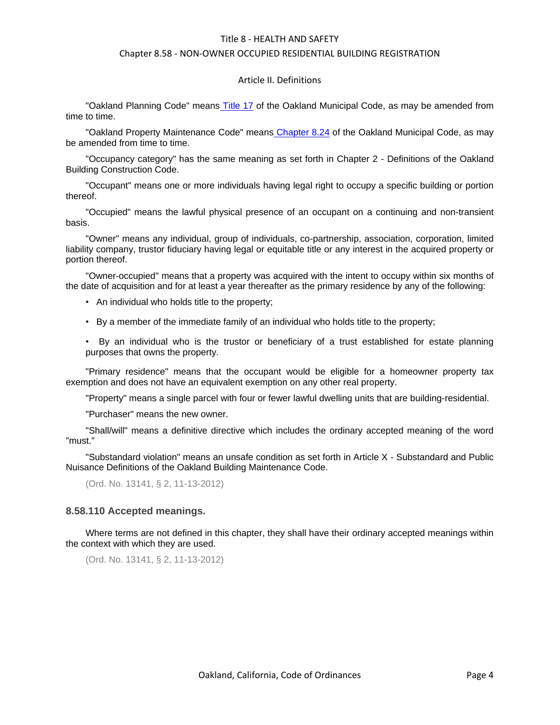#### Chapter 8.58 - NON-OWNER OCCUPIED RESIDENTIAL BUILDING REGISTRATION

#### Article II. Definitions

"Oakland Planning Code" means [Title 17](../level1/TIT17PL.docx#TIT17PL) of the Oakland Municipal Code, as may be amended from time to time.

"Oakland Property Maintenance Code" means [Chapter 8.24](../level2/TIT8HESA_CH8.24PRBL.docx#TIT8HESA_CH8.24PRBL) of the Oakland Municipal Code, as may be amended from time to time.

"Occupancy category" has the same meaning as set forth in Chapter 2 - Definitions of the Oakland Building Construction Code.

"Occupant" means one or more individuals having legal right to occupy a specific building or portion thereof.

"Occupied" means the lawful physical presence of an occupant on a continuing and non-transient basis.

"Owner" means any individual, group of individuals, co-partnership, association, corporation, limited liability company, trustor fiduciary having legal or equitable title or any interest in the acquired property or portion thereof.

"Owner-occupied" means that a property was acquired with the intent to occupy within six months of the date of acquisition and for at least a year thereafter as the primary residence by any of the following:

- An individual who holds title to the property;
- By a member of the immediate family of an individual who holds title to the property;

• By an individual who is the trustor or beneficiary of a trust established for estate planning purposes that owns the property.

"Primary residence" means that the occupant would be eligible for a homeowner property tax exemption and does not have an equivalent exemption on any other real property.

"Property" means a single parcel with four or fewer lawful dwelling units that are building-residential.

"Purchaser" means the new owner.

"Shall/will" means a definitive directive which includes the ordinary accepted meaning of the word "must."

"Substandard violation" means an unsafe condition as set forth in Article X - Substandard and Public Nuisance Definitions of the Oakland Building Maintenance Code.

(Ord. No. 13141, § 2, 11-13-2012)

#### <span id="page-3-0"></span>**8.58.110 Accepted meanings.**

Where terms are not defined in this chapter, they shall have their ordinary accepted meanings within the context with which they are used.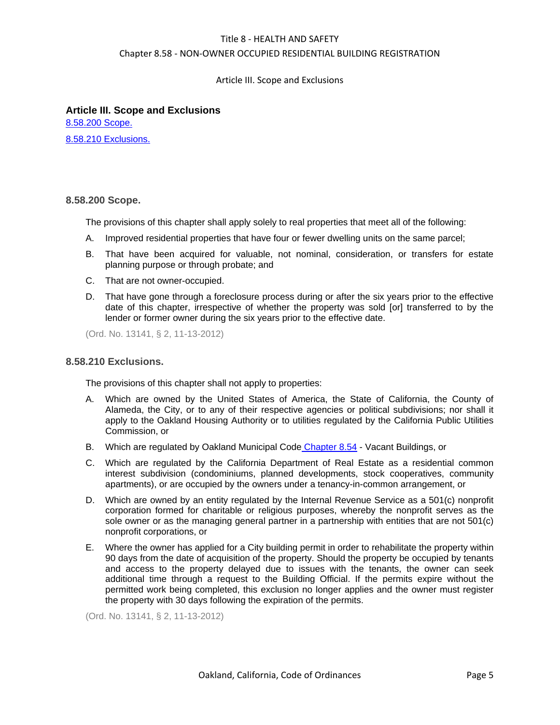Chapter 8.58 - NON-OWNER OCCUPIED RESIDENTIAL BUILDING REGISTRATION

Article III. Scope and Exclusions

## **Article III. Scope and Exclusions**

[8.58.200 Scope.](#page-4-0) [8.58.210 Exclusions.](#page-4-1)

### <span id="page-4-0"></span>**8.58.200 Scope.**

The provisions of this chapter shall apply solely to real properties that meet all of the following:

- A. Improved residential properties that have four or fewer dwelling units on the same parcel;
- B. That have been acquired for valuable, not nominal, consideration, or transfers for estate planning purpose or through probate; and
- C. That are not owner-occupied.
- D. That have gone through a foreclosure process during or after the six years prior to the effective date of this chapter, irrespective of whether the property was sold [or] transferred to by the lender or former owner during the six years prior to the effective date.

(Ord. No. 13141, § 2, 11-13-2012)

# <span id="page-4-1"></span>**8.58.210 Exclusions.**

The provisions of this chapter shall not apply to properties:

- A. Which are owned by the United States of America, the State of California, the County of Alameda, the City, or to any of their respective agencies or political subdivisions; nor shall it apply to the Oakland Housing Authority or to utilities regulated by the California Public Utilities Commission, or
- B. Which are regulated by Oakland Municipal Code [Chapter 8.54](../level2/TIT8HESA_CH8.54FODEREPRREABPR.docx#TIT8HESA_CH8.54FODEREPRREABPR) Vacant Buildings, or
- C. Which are regulated by the California Department of Real Estate as a residential common interest subdivision (condominiums, planned developments, stock cooperatives, community apartments), or are occupied by the owners under a tenancy-in-common arrangement, or
- D. Which are owned by an entity regulated by the Internal Revenue Service as a 501(c) nonprofit corporation formed for charitable or religious purposes, whereby the nonprofit serves as the sole owner or as the managing general partner in a partnership with entities that are not 501(c) nonprofit corporations, or
- E. Where the owner has applied for a City building permit in order to rehabilitate the property within 90 days from the date of acquisition of the property. Should the property be occupied by tenants and access to the property delayed due to issues with the tenants, the owner can seek additional time through a request to the Building Official. If the permits expire without the permitted work being completed, this exclusion no longer applies and the owner must register the property with 30 days following the expiration of the permits.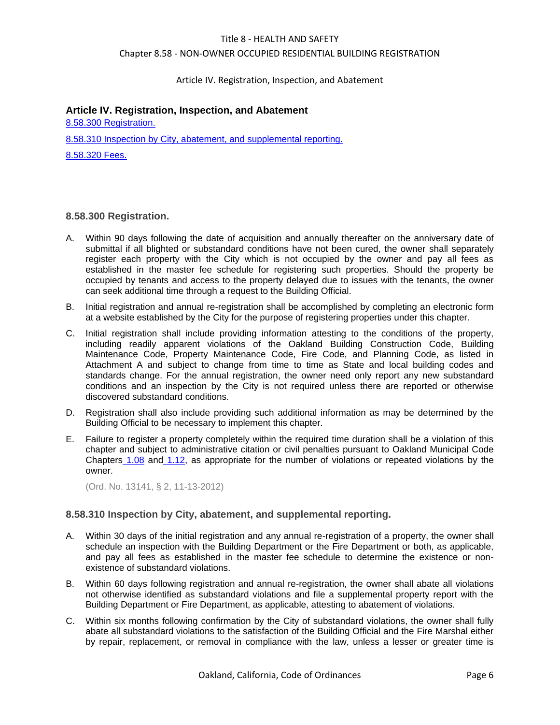## Chapter 8.58 - NON-OWNER OCCUPIED RESIDENTIAL BUILDING REGISTRATION

## Article IV. Registration, Inspection, and Abatement

# **Article IV. Registration, Inspection, and Abatement**

[8.58.300 Registration.](#page-5-0) [8.58.310 Inspection by City, abatement, and supplemental reporting.](#page-5-1) [8.58.320 Fees.](#page-6-0)

# <span id="page-5-0"></span>**8.58.300 Registration.**

- A. Within 90 days following the date of acquisition and annually thereafter on the anniversary date of submittal if all blighted or substandard conditions have not been cured, the owner shall separately register each property with the City which is not occupied by the owner and pay all fees as established in the master fee schedule for registering such properties. Should the property be occupied by tenants and access to the property delayed due to issues with the tenants, the owner can seek additional time through a request to the Building Official.
- B. Initial registration and annual re-registration shall be accomplished by completing an electronic form at a website established by the City for the purpose of registering properties under this chapter.
- C. Initial registration shall include providing information attesting to the conditions of the property, including readily apparent violations of the Oakland Building Construction Code, Building Maintenance Code, Property Maintenance Code, Fire Code, and Planning Code, as listed in Attachment A and subject to change from time to time as State and local building codes and standards change. For the annual registration, the owner need only report any new substandard conditions and an inspection by the City is not required unless there are reported or otherwise discovered substandard conditions.
- D. Registration shall also include providing such additional information as may be determined by the Building Official to be necessary to implement this chapter.
- E. Failure to register a property completely within the required time duration shall be a violation of this chapter and subject to administrative citation or civil penalties pursuant to Oakland Municipal Code Chapters [1.08](../level2/TIT1GEPR_CH1.08CIPE.docx#TIT1GEPR_CH1.08CIPE) and [1.12,](../level2/TIT1GEPR_CH1.12ADCI.docx#TIT1GEPR_CH1.12ADCI) as appropriate for the number of violations or repeated violations by the owner.

(Ord. No. 13141, § 2, 11-13-2012)

### <span id="page-5-1"></span>**8.58.310 Inspection by City, abatement, and supplemental reporting.**

- A. Within 30 days of the initial registration and any annual re-registration of a property, the owner shall schedule an inspection with the Building Department or the Fire Department or both, as applicable, and pay all fees as established in the master fee schedule to determine the existence or nonexistence of substandard violations.
- B. Within 60 days following registration and annual re-registration, the owner shall abate all violations not otherwise identified as substandard violations and file a supplemental property report with the Building Department or Fire Department, as applicable, attesting to abatement of violations.
- C. Within six months following confirmation by the City of substandard violations, the owner shall fully abate all substandard violations to the satisfaction of the Building Official and the Fire Marshal either by repair, replacement, or removal in compliance with the law, unless a lesser or greater time is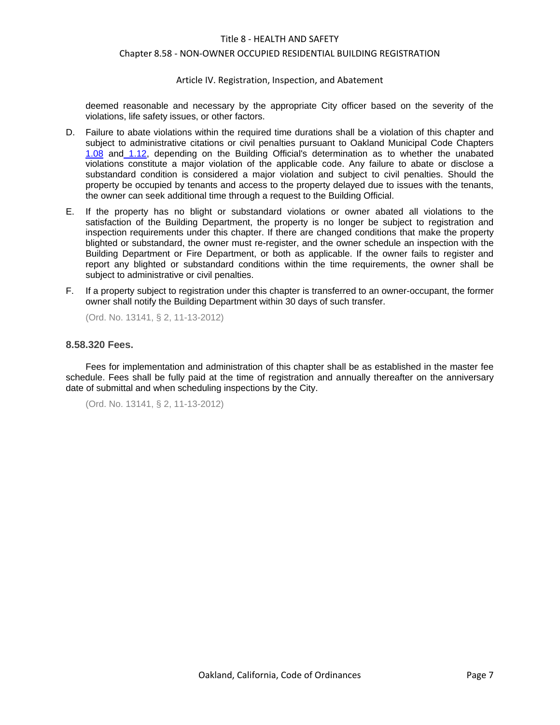#### Chapter 8.58 - NON-OWNER OCCUPIED RESIDENTIAL BUILDING REGISTRATION

#### Article IV. Registration, Inspection, and Abatement

deemed reasonable and necessary by the appropriate City officer based on the severity of the violations, life safety issues, or other factors.

- D. Failure to abate violations within the required time durations shall be a violation of this chapter and subject to administrative citations or civil penalties pursuant to Oakland Municipal Code Chapter[s](../level2/TIT1GEPR_CH1.08CIPE.docx#TIT1GEPR_CH1.08CIPE) [1.08](../level2/TIT1GEPR_CH1.08CIPE.docx#TIT1GEPR_CH1.08CIPE) and [1.12,](../level2/TIT1GEPR_CH1.12ADCI.docx#TIT1GEPR_CH1.12ADCI) depending on the Building Official's determination as to whether the unabated violations constitute a major violation of the applicable code. Any failure to abate or disclose a substandard condition is considered a major violation and subject to civil penalties. Should the property be occupied by tenants and access to the property delayed due to issues with the tenants, the owner can seek additional time through a request to the Building Official.
- E. If the property has no blight or substandard violations or owner abated all violations to the satisfaction of the Building Department, the property is no longer be subject to registration and inspection requirements under this chapter. If there are changed conditions that make the property blighted or substandard, the owner must re-register, and the owner schedule an inspection with the Building Department or Fire Department, or both as applicable. If the owner fails to register and report any blighted or substandard conditions within the time requirements, the owner shall be subject to administrative or civil penalties.
- F. If a property subject to registration under this chapter is transferred to an owner-occupant, the former owner shall notify the Building Department within 30 days of such transfer.

(Ord. No. 13141, § 2, 11-13-2012)

## <span id="page-6-0"></span>**8.58.320 Fees.**

Fees for implementation and administration of this chapter shall be as established in the master fee schedule. Fees shall be fully paid at the time of registration and annually thereafter on the anniversary date of submittal and when scheduling inspections by the City.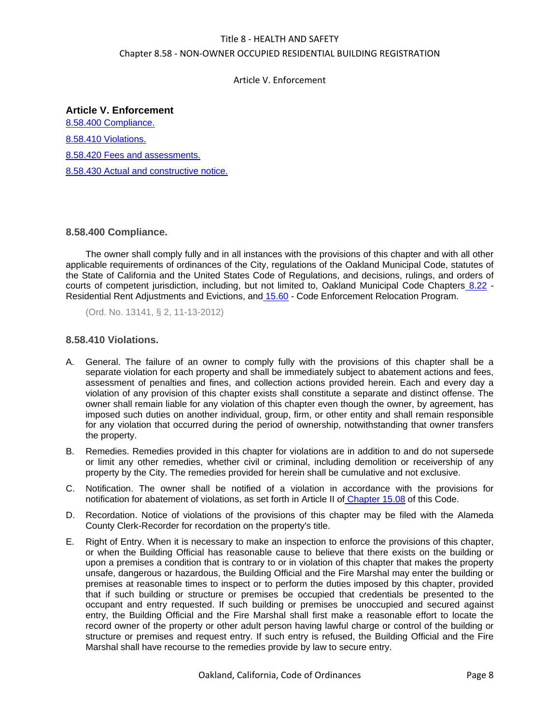Article V. Enforcement

# **Article V. Enforcement**

[8.58.400 Compliance.](#page-7-0) [8.58.410 Violations.](#page-7-1) [8.58.420 Fees and assessments.](#page-8-0) [8.58.430 Actual and constructive notice.](#page-9-0)

# <span id="page-7-0"></span>**8.58.400 Compliance.**

The owner shall comply fully and in all instances with the provisions of this chapter and with all other applicable requirements of ordinances of the City, regulations of the Oakland Municipal Code, statutes of the State of California and the United States Code of Regulations, and decisions, rulings, and orders of courts of competent jurisdiction, including, but not limited to, Oakland Municipal Code Chapters [8.22](../level2/TIT8HESA_CH8.22REREADEV.docx#TIT8HESA_CH8.22REREADEV) -Residential Rent Adjustments and Evictions, and [15.60](../level2/TIT15BUCO_CH15.60COENREPR.docx#TIT15BUCO_CH15.60COENREPR) - Code Enforcement Relocation Program.

(Ord. No. 13141, § 2, 11-13-2012)

# <span id="page-7-1"></span>**8.58.410 Violations.**

- A. General. The failure of an owner to comply fully with the provisions of this chapter shall be a separate violation for each property and shall be immediately subject to abatement actions and fees, assessment of penalties and fines, and collection actions provided herein. Each and every day a violation of any provision of this chapter exists shall constitute a separate and distinct offense. The owner shall remain liable for any violation of this chapter even though the owner, by agreement, has imposed such duties on another individual, group, firm, or other entity and shall remain responsible for any violation that occurred during the period of ownership, notwithstanding that owner transfers the property.
- B. Remedies. Remedies provided in this chapter for violations are in addition to and do not supersede or limit any other remedies, whether civil or criminal, including demolition or receivership of any property by the City. The remedies provided for herein shall be cumulative and not exclusive.
- C. Notification. The owner shall be notified of a violation in accordance with the provisions for notification for abatement of violations, as set forth in Article II of [Chapter 15.08](../level2/TIT15BUCO_CH15.08OABUMACO.docx#TIT15BUCO_CH15.08OABUMACO) of this Code.
- D. Recordation. Notice of violations of the provisions of this chapter may be filed with the Alameda County Clerk-Recorder for recordation on the property's title.
- E. Right of Entry. When it is necessary to make an inspection to enforce the provisions of this chapter, or when the Building Official has reasonable cause to believe that there exists on the building or upon a premises a condition that is contrary to or in violation of this chapter that makes the property unsafe, dangerous or hazardous, the Building Official and the Fire Marshal may enter the building or premises at reasonable times to inspect or to perform the duties imposed by this chapter, provided that if such building or structure or premises be occupied that credentials be presented to the occupant and entry requested. If such building or premises be unoccupied and secured against entry, the Building Official and the Fire Marshal shall first make a reasonable effort to locate the record owner of the property or other adult person having lawful charge or control of the building or structure or premises and request entry. If such entry is refused, the Building Official and the Fire Marshal shall have recourse to the remedies provide by law to secure entry.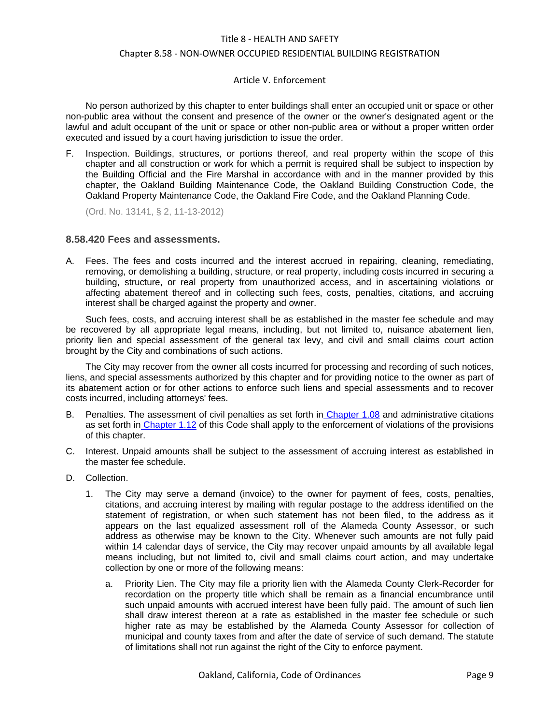# Article V. Enforcement

No person authorized by this chapter to enter buildings shall enter an occupied unit or space or other non-public area without the consent and presence of the owner or the owner's designated agent or the lawful and adult occupant of the unit or space or other non-public area or without a proper written order executed and issued by a court having jurisdiction to issue the order.

F. Inspection. Buildings, structures, or portions thereof, and real property within the scope of this chapter and all construction or work for which a permit is required shall be subject to inspection by the Building Official and the Fire Marshal in accordance with and in the manner provided by this chapter, the Oakland Building Maintenance Code, the Oakland Building Construction Code, the Oakland Property Maintenance Code, the Oakland Fire Code, and the Oakland Planning Code.

(Ord. No. 13141, § 2, 11-13-2012)

# <span id="page-8-0"></span>**8.58.420 Fees and assessments.**

A. Fees. The fees and costs incurred and the interest accrued in repairing, cleaning, remediating, removing, or demolishing a building, structure, or real property, including costs incurred in securing a building, structure, or real property from unauthorized access, and in ascertaining violations or affecting abatement thereof and in collecting such fees, costs, penalties, citations, and accruing interest shall be charged against the property and owner.

Such fees, costs, and accruing interest shall be as established in the master fee schedule and may be recovered by all appropriate legal means, including, but not limited to, nuisance abatement lien, priority lien and special assessment of the general tax levy, and civil and small claims court action brought by the City and combinations of such actions.

The City may recover from the owner all costs incurred for processing and recording of such notices, liens, and special assessments authorized by this chapter and for providing notice to the owner as part of its abatement action or for other actions to enforce such liens and special assessments and to recover costs incurred, including attorneys' fees.

- B. Penalties. The assessment of civil penalties as set forth in [Chapter 1.08](../level2/TIT1GEPR_CH1.08CIPE.docx#TIT1GEPR_CH1.08CIPE) and administrative citations as set forth in [Chapter 1.12](../level2/TIT1GEPR_CH1.12ADCI.docx#TIT1GEPR_CH1.12ADCI) of this Code shall apply to the enforcement of violations of the provisions of this chapter.
- C. Interest. Unpaid amounts shall be subject to the assessment of accruing interest as established in the master fee schedule.
- D. Collection.
	- 1. The City may serve a demand (invoice) to the owner for payment of fees, costs, penalties, citations, and accruing interest by mailing with regular postage to the address identified on the statement of registration, or when such statement has not been filed, to the address as it appears on the last equalized assessment roll of the Alameda County Assessor, or such address as otherwise may be known to the City. Whenever such amounts are not fully paid within 14 calendar days of service, the City may recover unpaid amounts by all available legal means including, but not limited to, civil and small claims court action, and may undertake collection by one or more of the following means:
		- a. Priority Lien. The City may file a priority lien with the Alameda County Clerk-Recorder for recordation on the property title which shall be remain as a financial encumbrance until such unpaid amounts with accrued interest have been fully paid. The amount of such lien shall draw interest thereon at a rate as established in the master fee schedule or such higher rate as may be established by the Alameda County Assessor for collection of municipal and county taxes from and after the date of service of such demand. The statute of limitations shall not run against the right of the City to enforce payment.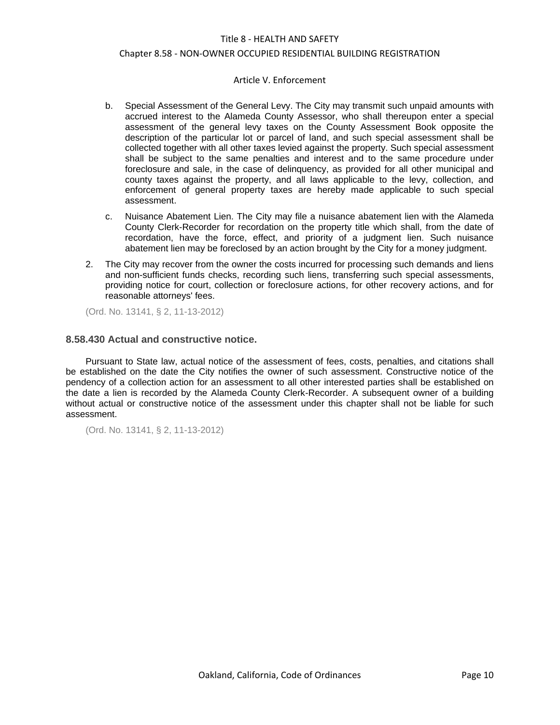#### Chapter 8.58 - NON-OWNER OCCUPIED RESIDENTIAL BUILDING REGISTRATION

#### Article V. Enforcement

- b. Special Assessment of the General Levy. The City may transmit such unpaid amounts with accrued interest to the Alameda County Assessor, who shall thereupon enter a special assessment of the general levy taxes on the County Assessment Book opposite the description of the particular lot or parcel of land, and such special assessment shall be collected together with all other taxes levied against the property. Such special assessment shall be subject to the same penalties and interest and to the same procedure under foreclosure and sale, in the case of delinquency, as provided for all other municipal and county taxes against the property, and all laws applicable to the levy, collection, and enforcement of general property taxes are hereby made applicable to such special assessment.
- c. Nuisance Abatement Lien. The City may file a nuisance abatement lien with the Alameda County Clerk-Recorder for recordation on the property title which shall, from the date of recordation, have the force, effect, and priority of a judgment lien. Such nuisance abatement lien may be foreclosed by an action brought by the City for a money judgment.
- 2. The City may recover from the owner the costs incurred for processing such demands and liens and non-sufficient funds checks, recording such liens, transferring such special assessments, providing notice for court, collection or foreclosure actions, for other recovery actions, and for reasonable attorneys' fees.

(Ord. No. 13141, § 2, 11-13-2012)

### <span id="page-9-0"></span>**8.58.430 Actual and constructive notice.**

Pursuant to State law, actual notice of the assessment of fees, costs, penalties, and citations shall be established on the date the City notifies the owner of such assessment. Constructive notice of the pendency of a collection action for an assessment to all other interested parties shall be established on the date a lien is recorded by the Alameda County Clerk-Recorder. A subsequent owner of a building without actual or constructive notice of the assessment under this chapter shall not be liable for such assessment.